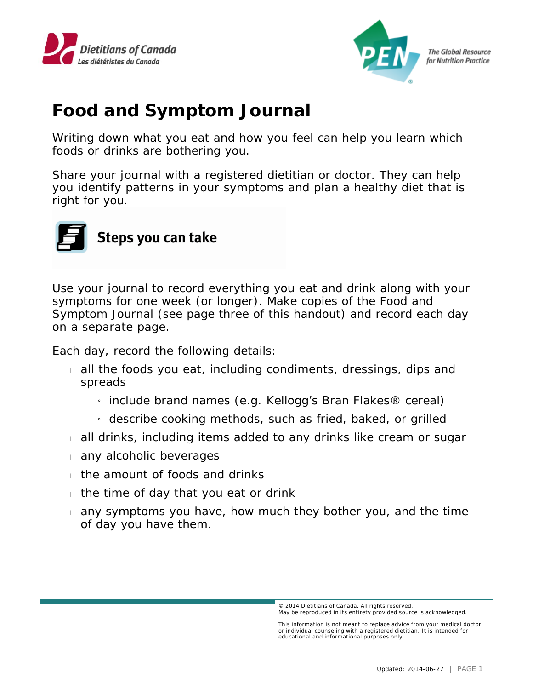



## **Food and Symptom Journal**

Writing down what you eat and how you feel can help you learn which foods or drinks are bothering you.

Share your journal with a registered dietitian or doctor. They can help you identify patterns in your symptoms and plan a healthy diet that is right for you.



Use your journal to record everything you eat and drink along with your symptoms for one week (or longer). Make copies of the Food and Symptom Journal (see page three of this handout) and record each day on a separate page.

Each day, record the following details:

- all the foods you eat, including condiments, dressings, dips and spreads
	- » include brand names (e.g. Kellogg's Bran Flakes® cereal)
	- » describe cooking methods, such as fried, baked, or grilled
- all drinks, including items added to any drinks like cream or sugar
- any alcoholic beverages
- the amount of foods and drinks
- $\frac{1}{1}$  the time of day that you eat or drink
- any symptoms you have, how much they bother you, and the time of day you have them.

<sup>© 2014</sup> Dietitians of Canada. All rights reserved. May be reproduced in its entirety provided source is acknowledged.

This information is not meant to replace advice from your medical doctor or individual counseling with a registered dietitian. It is intended for educational and informational purposes only.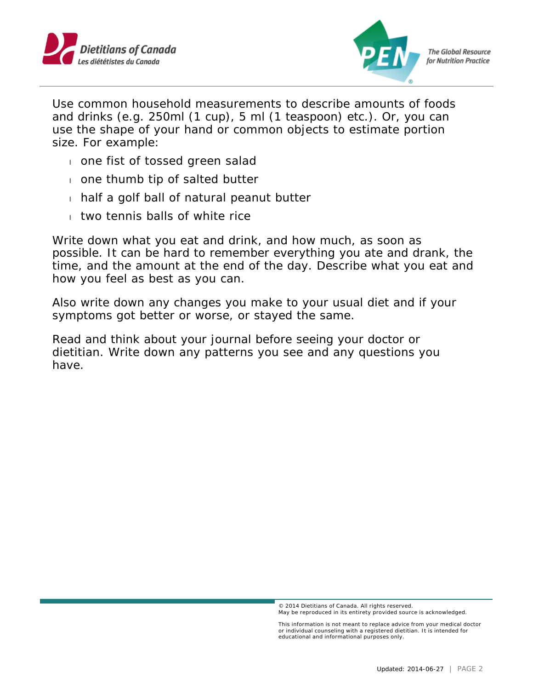



Use common household measurements to describe amounts of foods and drinks (e.g. 250ml (1 cup), 5 ml (1 teaspoon) etc.). Or, you can use the shape of your hand or common objects to estimate portion size. For example:

- one fist of tossed green salad
- one thumb tip of salted butter
- $\frac{1}{1}$  half a golf ball of natural peanut butter
- $\frac{1}{1}$  two tennis balls of white rice

Write down what you eat and drink, and how much, as soon as possible. It can be hard to remember everything you ate and drank, the time, and the amount at the end of the day. Describe what you eat and how you feel as best as you can.

Also write down any changes you make to your usual diet and if your symptoms got better or worse, or stayed the same.

Read and think about your journal before seeing your doctor or dietitian. Write down any patterns you see and any questions you have.

<sup>© 2014</sup> Dietitians of Canada. All rights reserved. May be reproduced in its entirety provided source is acknowledged.

This information is not meant to replace advice from your medical doctor or individual counseling with a registered dietitian. It is intended for educational and informational purposes only.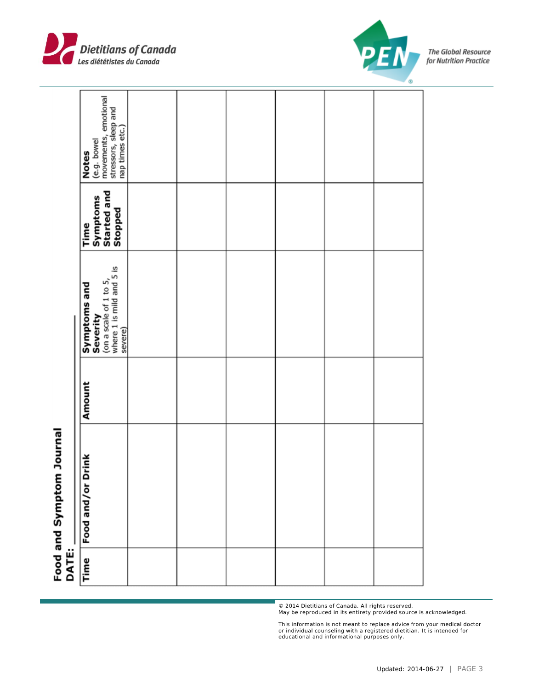| (e.g. bowel<br>movements, emotional<br>stressors, sleep and<br>nap times etc.)<br><b>Notes</b> |  |  |  |
|------------------------------------------------------------------------------------------------|--|--|--|
| Symptoms<br>Started and<br>Stopped<br>Time                                                     |  |  |  |
| (on a scale of 1 to 5,<br>where 1 is mild and 5 is<br>severe)<br>Symptoms and<br>Severity      |  |  |  |
| Amount                                                                                         |  |  |  |
| <b>Drink</b><br>Food and/or                                                                    |  |  |  |
| DATE:<br>Time                                                                                  |  |  |  |



PF

© 2014 Dietitians of Canada. All rights reserved. May be reproduced in its entirety provided source is acknowledged.

This information is not meant to replace advice from your medical doctor or individual counseling with a registered dietitian. It is intended for educational and informational purposes only.